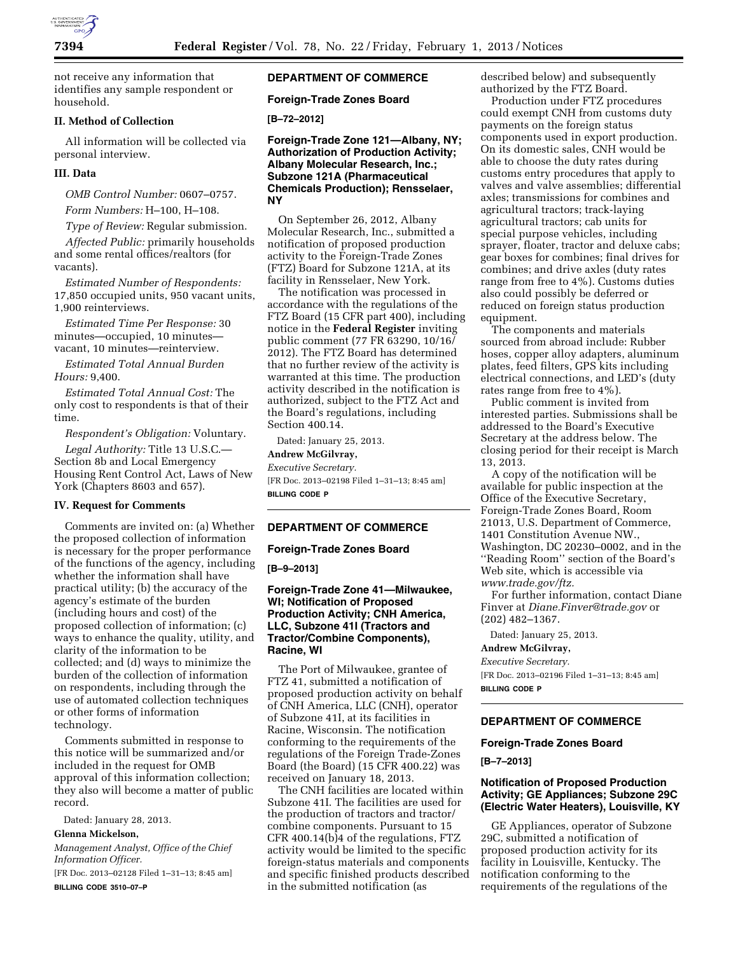

not receive any information that identifies any sample respondent or household.

## **II. Method of Collection**

All information will be collected via personal interview.

#### **III. Data**

*OMB Control Number:* 0607–0757.

*Form Numbers:* H–100, H–108.

*Type of Review:* Regular submission.

*Affected Public:* primarily households and some rental offices/realtors (for vacants).

*Estimated Number of Respondents:*  17,850 occupied units, 950 vacant units, 1,900 reinterviews.

*Estimated Time Per Response:* 30 minutes—occupied, 10 minutes vacant, 10 minutes—reinterview.

*Estimated Total Annual Burden Hours:* 9,400.

*Estimated Total Annual Cost:* The only cost to respondents is that of their time.

*Respondent's Obligation:* Voluntary.

*Legal Authority:* Title 13 U.S.C.— Section 8b and Local Emergency Housing Rent Control Act, Laws of New York (Chapters 8603 and 657).

### **IV. Request for Comments**

Comments are invited on: (a) Whether the proposed collection of information is necessary for the proper performance of the functions of the agency, including whether the information shall have practical utility; (b) the accuracy of the agency's estimate of the burden (including hours and cost) of the proposed collection of information; (c) ways to enhance the quality, utility, and clarity of the information to be collected; and (d) ways to minimize the burden of the collection of information on respondents, including through the use of automated collection techniques or other forms of information technology.

Comments submitted in response to this notice will be summarized and/or included in the request for OMB approval of this information collection; they also will become a matter of public record.

Dated: January 28, 2013.

**Glenna Mickelson,** 

*Management Analyst, Office of the Chief Information Officer.* 

[FR Doc. 2013–02128 Filed 1–31–13; 8:45 am] **BILLING CODE 3510–07–P** 

# **DEPARTMENT OF COMMERCE**

### **Foreign-Trade Zones Board**

## **[B–72–2012]**

**Foreign-Trade Zone 121—Albany, NY; Authorization of Production Activity; Albany Molecular Research, Inc.; Subzone 121A (Pharmaceutical Chemicals Production); Rensselaer, NY** 

On September 26, 2012, Albany Molecular Research, Inc., submitted a notification of proposed production activity to the Foreign-Trade Zones (FTZ) Board for Subzone 121A, at its facility in Rensselaer, New York.

The notification was processed in accordance with the regulations of the FTZ Board (15 CFR part 400), including notice in the **Federal Register** inviting public comment (77 FR 63290, 10/16/ 2012). The FTZ Board has determined that no further review of the activity is warranted at this time. The production activity described in the notification is authorized, subject to the FTZ Act and the Board's regulations, including Section 400.14.

Dated: January 25, 2013.

**Andrew McGilvray,** 

*Executive Secretary.* 

[FR Doc. 2013–02198 Filed 1–31–13; 8:45 am] **BILLING CODE P** 

#### **DEPARTMENT OF COMMERCE**

#### **Foreign-Trade Zones Board**

**[B–9–2013]** 

## **Foreign-Trade Zone 41—Milwaukee, WI; Notification of Proposed Production Activity; CNH America, LLC, Subzone 41I (Tractors and Tractor/Combine Components), Racine, WI**

The Port of Milwaukee, grantee of FTZ 41, submitted a notification of proposed production activity on behalf of CNH America, LLC (CNH), operator of Subzone 41I, at its facilities in Racine, Wisconsin. The notification conforming to the requirements of the regulations of the Foreign Trade-Zones Board (the Board) (15 CFR 400.22) was received on January 18, 2013.

The CNH facilities are located within Subzone 41I. The facilities are used for the production of tractors and tractor/ combine components. Pursuant to 15 CFR 400.14(b)4 of the regulations, FTZ activity would be limited to the specific foreign-status materials and components and specific finished products described in the submitted notification (as

described below) and subsequently authorized by the FTZ Board.

Production under FTZ procedures could exempt CNH from customs duty payments on the foreign status components used in export production. On its domestic sales, CNH would be able to choose the duty rates during customs entry procedures that apply to valves and valve assemblies; differential axles; transmissions for combines and agricultural tractors; track-laying agricultural tractors; cab units for special purpose vehicles, including sprayer, floater, tractor and deluxe cabs; gear boxes for combines; final drives for combines; and drive axles (duty rates range from free to 4%). Customs duties also could possibly be deferred or reduced on foreign status production equipment.

The components and materials sourced from abroad include: Rubber hoses, copper alloy adapters, aluminum plates, feed filters, GPS kits including electrical connections, and LED's (duty rates range from free to 4%).

Public comment is invited from interested parties. Submissions shall be addressed to the Board's Executive Secretary at the address below. The closing period for their receipt is March 13, 2013.

A copy of the notification will be available for public inspection at the Office of the Executive Secretary, Foreign-Trade Zones Board, Room 21013, U.S. Department of Commerce, 1401 Constitution Avenue NW., Washington, DC 20230–0002, and in the ''Reading Room'' section of the Board's Web site, which is accessible via *[www.trade.gov/ftz.](http://www.trade.gov/ftz)* 

For further information, contact Diane Finver at *[Diane.Finver@trade.gov](mailto:Diane.Finver@trade.gov)* or (202) 482–1367.

Dated: January 25, 2013.

**Andrew McGilvray,** 

*Executive Secretary.* 

[FR Doc. 2013–02196 Filed 1–31–13; 8:45 am] **BILLING CODE P** 

## **DEPARTMENT OF COMMERCE**

#### **Foreign-Trade Zones Board**

**[B–7–2013]** 

### **Notification of Proposed Production Activity; GE Appliances; Subzone 29C (Electric Water Heaters), Louisville, KY**

GE Appliances, operator of Subzone 29C, submitted a notification of proposed production activity for its facility in Louisville, Kentucky. The notification conforming to the requirements of the regulations of the